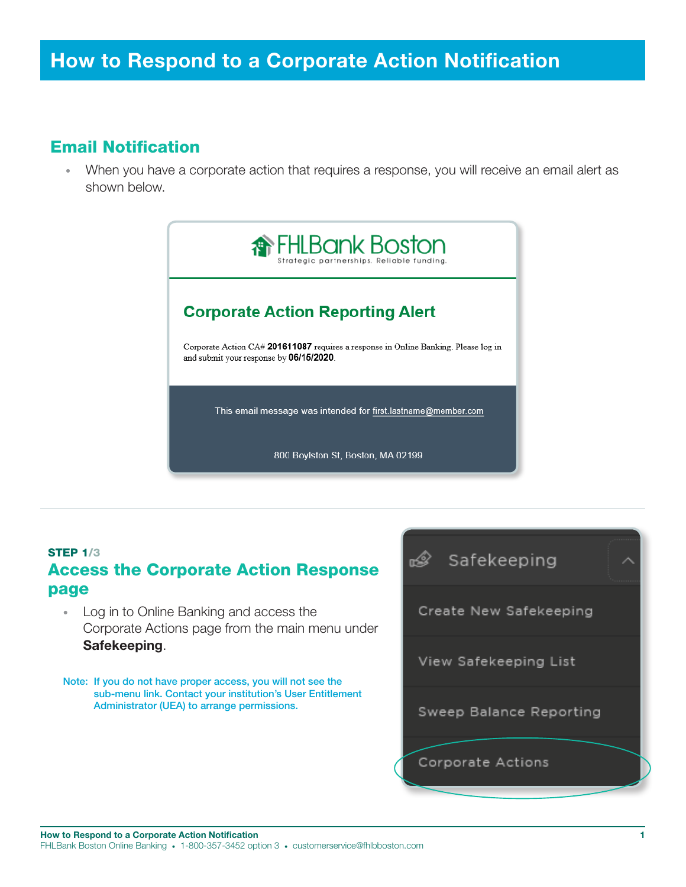## Email Notification

• When you have a corporate action that requires a response, you will receive an email alert as shown below.



## STEP 1/3 Access the Corporate Action Response page

- Log in to Online Banking and access the Corporate Actions page from the main menu under Safekeeping.
- Note: If you do not have proper access, you will not see the sub-menu link. Contact your institution's User Entitlement Administrator (UEA) to arrange permissions.

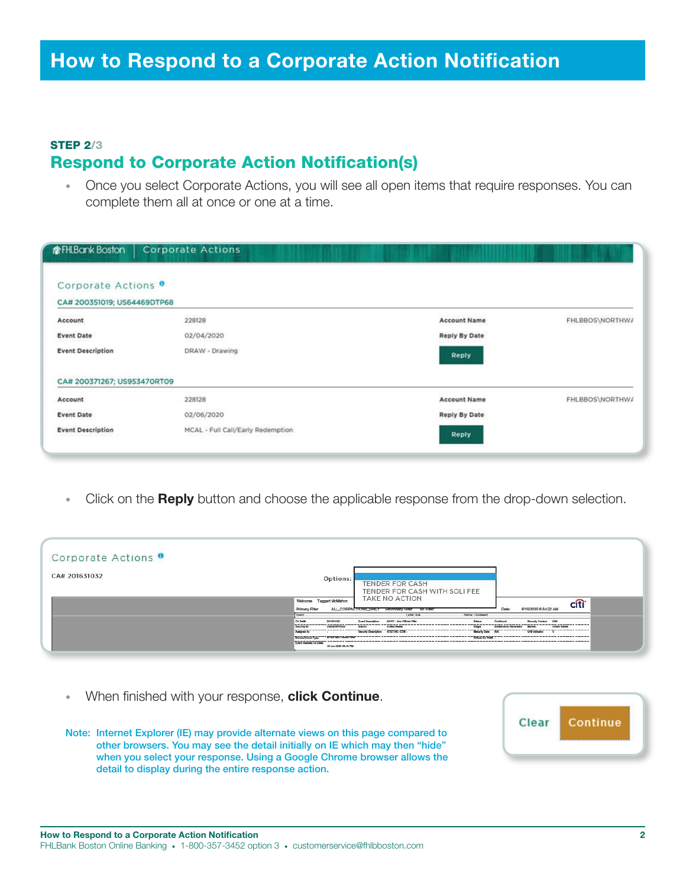### STEP 2/3 Respond to Corporate Action Notification(s)

• Once you select Corporate Actions, you will see all open items that require responses. You can complete them all at once or one at a time.

| <b>命FHLBank Boston</b>                                        | <b>Corporate Actions</b>          |                      |                 |
|---------------------------------------------------------------|-----------------------------------|----------------------|-----------------|
| Corporate Actions <sup>9</sup><br>CA# 200351019; US64469DTP68 |                                   |                      |                 |
| Account                                                       | 228128                            | <b>Account Name</b>  | FHLBBOS\NORTHWA |
| <b>Event Date</b>                                             | 02/04/2020                        | <b>Reply By Date</b> |                 |
| <b>Event Description</b>                                      | DRAW - Drawing                    | Reply                |                 |
| CA# 200371267; US953470RT09                                   |                                   |                      |                 |
| Account                                                       | 228128                            | <b>Account Name</b>  | FHLBBOS\NORTHWA |
| <b>Event Date</b>                                             | 02/06/2020                        | <b>Reply By Date</b> |                 |
| <b>Event Description</b>                                      | MCAL - Full Call/Early Redemption | Reply                |                 |

Click on the Reply button and choose the applicable response from the drop-down selection.

| Corporate Actions <sup>o</sup> |                                                                                                                                                                                                                                                                                                                                                                                                                                                                                                                                                                                   |
|--------------------------------|-----------------------------------------------------------------------------------------------------------------------------------------------------------------------------------------------------------------------------------------------------------------------------------------------------------------------------------------------------------------------------------------------------------------------------------------------------------------------------------------------------------------------------------------------------------------------------------|
| CA# 201631032                  | Options:<br><b>TENDER FOR CASH</b><br>TENDER FOR CASH WITH SOLI FEE                                                                                                                                                                                                                                                                                                                                                                                                                                                                                                               |
|                                | TAKE NO ACTION<br>Welcome Taggart McMahon<br>citi <sup>®</sup><br>6/16/2020 6:34:22 AM<br>ALL_CORPACTIONS_DAILY Secondary Hiter<br><b>Primary Filter</b><br>Date:<br>NO FIRE<br><b>Status: Unulaward</b><br>Event<br>Label-NIA                                                                                                                                                                                                                                                                                                                                                    |
|                                | CA Raff<br>201031032<br>NOOF - Non-Official Offer<br>Security Context 1589<br><b>Dyent Description:</b><br>Confermad<br><b>Glaba</b><br>-----<br>USECOMPTION Branch<br>United States<br>United States<br>---------------<br>Security ID<br>Entifactoria Generated<br>Market<br>------------------------------<br>Security Description: AT&T INC COM-<br>-----------------<br>-----------------------------<br>WW Indicator:<br>Maturby Date:<br>Assigned to<br>Declared Direct Type: " STERTHIN'T ENSINTEND<br>THE STATISTICS.<br>Event Inserted On Date:<br>15-Jun-2020 08:18 PM |

• When finished with your response, click Continue.

Note: Internet Explorer (IE) may provide alternate views on this page compared to other browsers. You may see the detail initially on IE which may then "hide" when you select your response. Using a Google Chrome browser allows the detail to display during the entire response action.

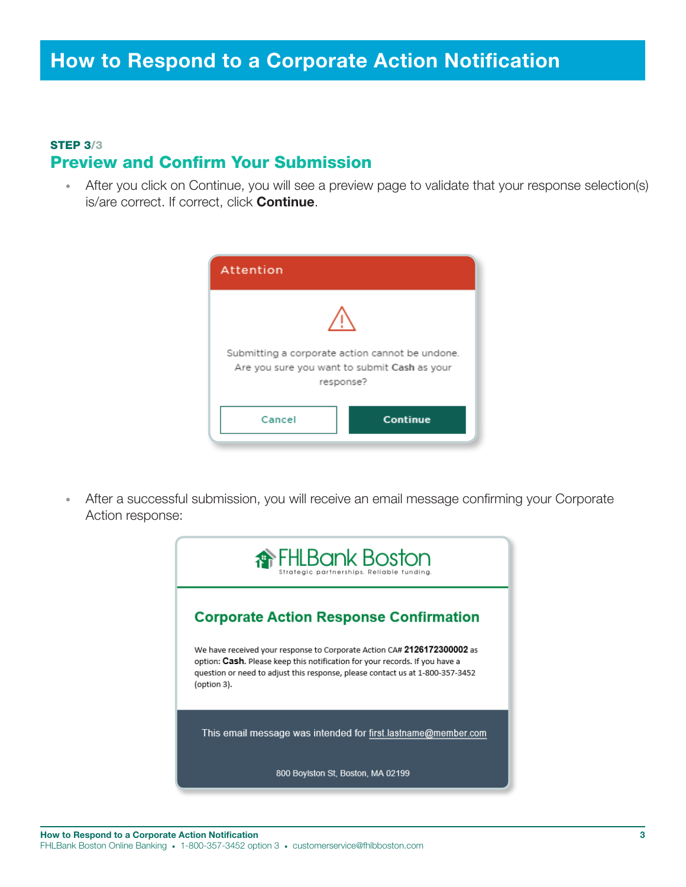#### STEP 3/3 Preview and Confirm Your Submission

• After you click on Continue, you will see a preview page to validate that your response selection(s) is/are correct. If correct, click **Continue**.



• After a successful submission, you will receive an email message confirming your Corporate Action response: